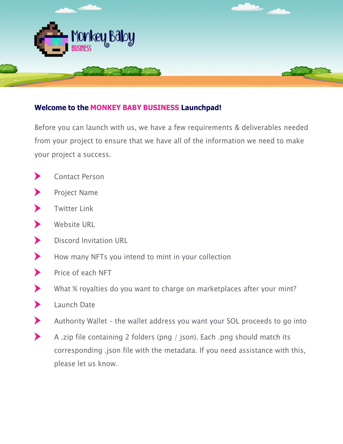

## **Welcome to the MONKEY BABY BUSINESS Launchpad!**

Before you can launch with us, we have a few requirements & deliverables needed from your project to ensure that we have all of the information we need to make your project a success.

- Contact Person  $\blacktriangleright$
- $\blacktriangleright$ Project Name
- Twitter Link ▶
- $\blacktriangleright$ Website URL
- $\blacktriangleright$ Discord Invitation URL
- $\blacktriangleright$ How many NFTs you intend to mint in your collection
- $\blacktriangleright$ Price of each NFT
- What % royalties do you want to charge on marketplaces after your mint?  $\blacktriangleright$
- $\blacktriangleright$ Launch Date
- $\blacktriangleright$ Authority Wallet – the wallet address you want your SOL proceeds to go into
- $\blacktriangleright$ A .zip file containing 2 folders (png / json). Each .png should match its corresponding .json file with the metadata. If you need assistance with this, please let us know.